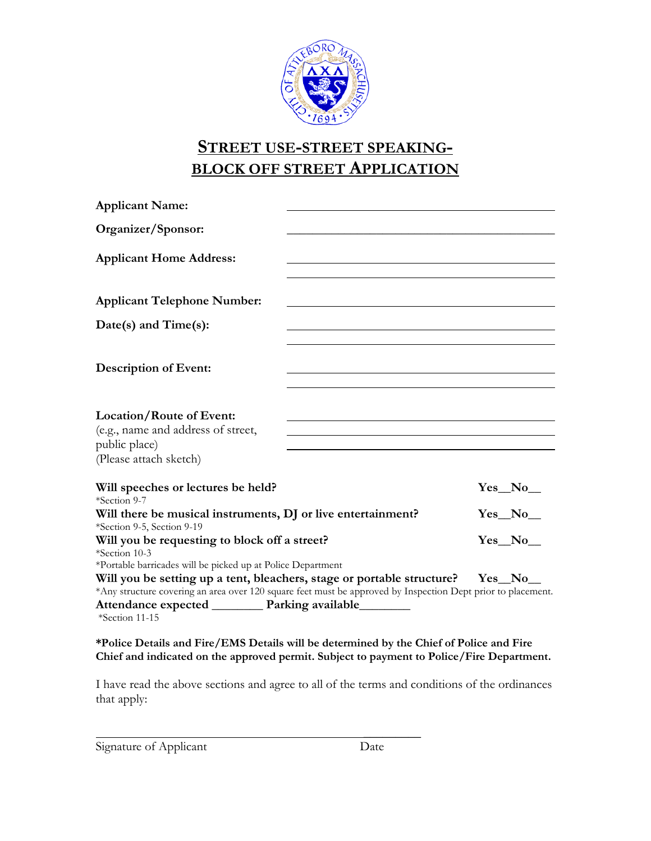

# **STREET USE-STREET SPEAKING-BLOCK OFF STREET APPLICATION**

| <b>Applicant Name:</b>                                                                                                                                                                                                                                                                                                              |  |               |
|-------------------------------------------------------------------------------------------------------------------------------------------------------------------------------------------------------------------------------------------------------------------------------------------------------------------------------------|--|---------------|
| Organizer/Sponsor:                                                                                                                                                                                                                                                                                                                  |  |               |
| <b>Applicant Home Address:</b>                                                                                                                                                                                                                                                                                                      |  |               |
|                                                                                                                                                                                                                                                                                                                                     |  |               |
| <b>Applicant Telephone Number:</b>                                                                                                                                                                                                                                                                                                  |  |               |
| Date(s) and Time(s):                                                                                                                                                                                                                                                                                                                |  |               |
|                                                                                                                                                                                                                                                                                                                                     |  |               |
| <b>Description of Event:</b>                                                                                                                                                                                                                                                                                                        |  |               |
|                                                                                                                                                                                                                                                                                                                                     |  |               |
| <b>Location/Route of Event:</b><br>(e.g., name and address of street,<br>public place)<br>(Please attach sketch)                                                                                                                                                                                                                    |  |               |
| Will speeches or lectures be held?<br>*Section 9-7                                                                                                                                                                                                                                                                                  |  | $Yes_No_$     |
| Will there be musical instruments, DJ or live entertainment?<br>*Section 9-5, Section 9-19                                                                                                                                                                                                                                          |  | $Yes_No_$     |
| Will you be requesting to block off a street?<br>*Section 10-3                                                                                                                                                                                                                                                                      |  | <b>Yes</b> No |
| *Portable barricades will be picked up at Police Department<br>Will you be setting up a tent, bleachers, stage or portable structure?<br>*Any structure covering an area over 120 square feet must be approved by Inspection Dept prior to placement.<br>Attendance expected __________ Parking available________<br>*Section 11-15 |  | Yes No        |
|                                                                                                                                                                                                                                                                                                                                     |  |               |

**\*Police Details and Fire/EMS Details will be determined by the Chief of Police and Fire Chief and indicated on the approved permit. Subject to payment to Police/Fire Department.**

I have read the above sections and agree to all of the terms and conditions of the ordinances that apply:

Signature of Applicant Date

 $\mathcal{L}$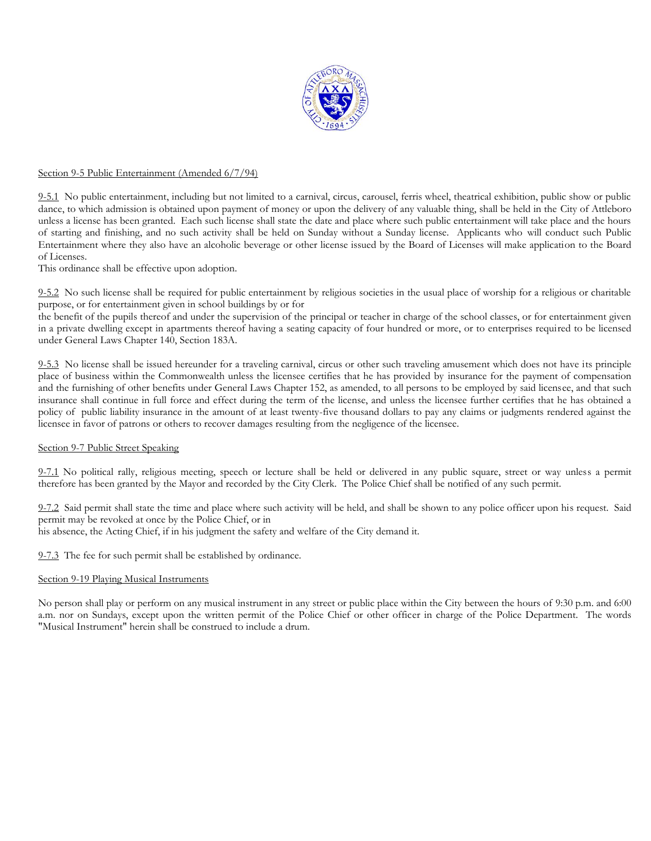

## Section 9-5 Public Entertainment (Amended 6/7/94)

9-5.1 No public entertainment, including but not limited to a carnival, circus, carousel, ferris wheel, theatrical exhibition, public show or public dance, to which admission is obtained upon payment of money or upon the delivery of any valuable thing, shall be held in the City of Attleboro unless a license has been granted. Each such license shall state the date and place where such public entertainment will take place and the hours of starting and finishing, and no such activity shall be held on Sunday without a Sunday license. Applicants who will conduct such Public Entertainment where they also have an alcoholic beverage or other license issued by the Board of Licenses will make application to the Board of Licenses.

This ordinance shall be effective upon adoption.

9-5.2 No such license shall be required for public entertainment by religious societies in the usual place of worship for a religious or charitable purpose, or for entertainment given in school buildings by or for

the benefit of the pupils thereof and under the supervision of the principal or teacher in charge of the school classes, or for entertainment given in a private dwelling except in apartments thereof having a seating capacity of four hundred or more, or to enterprises required to be licensed under General Laws Chapter 140, Section 183A.

9-5.3 No license shall be issued hereunder for a traveling carnival, circus or other such traveling amusement which does not have its principle place of business within the Commonwealth unless the licensee certifies that he has provided by insurance for the payment of compensation and the furnishing of other benefits under General Laws Chapter 152, as amended, to all persons to be employed by said licensee, and that such insurance shall continue in full force and effect during the term of the license, and unless the licensee further certifies that he has obtained a policy of public liability insurance in the amount of at least twenty-five thousand dollars to pay any claims or judgments rendered against the licensee in favor of patrons or others to recover damages resulting from the negligence of the licensee.

#### Section 9-7 Public Street Speaking

9-7.1 No political rally, religious meeting, speech or lecture shall be held or delivered in any public square, street or way unless a permit therefore has been granted by the Mayor and recorded by the City Clerk. The Police Chief shall be notified of any such permit.

9-7.2 Said permit shall state the time and place where such activity will be held, and shall be shown to any police officer upon his request. Said permit may be revoked at once by the Police Chief, or in

his absence, the Acting Chief, if in his judgment the safety and welfare of the City demand it.

9-7.3 The fee for such permit shall be established by ordinance.

#### Section 9-19 Playing Musical Instruments

No person shall play or perform on any musical instrument in any street or public place within the City between the hours of 9:30 p.m. and 6:00 a.m. nor on Sundays, except upon the written permit of the Police Chief or other officer in charge of the Police Department. The words "Musical Instrument" herein shall be construed to include a drum.